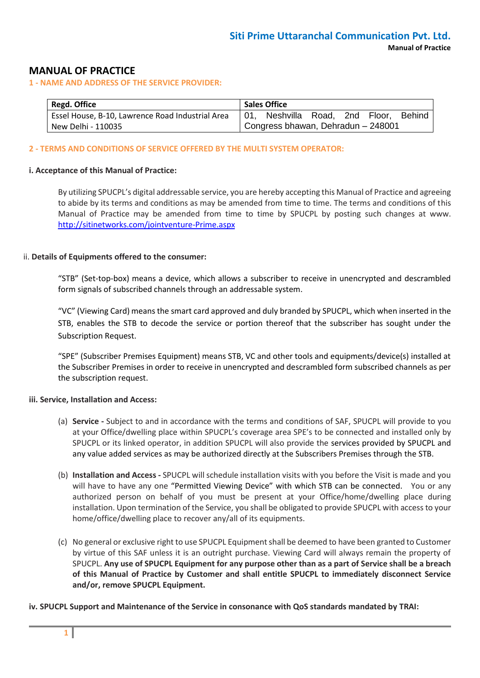## **MANUAL OF PRACTICE**

**1 - NAME AND ADDRESS OF THE SERVICE PROVIDER:**

| Regd. Office                                     |                                    | <b>Sales Office</b>            |  |  |  |               |
|--------------------------------------------------|------------------------------------|--------------------------------|--|--|--|---------------|
| Essel House, B-10, Lawrence Road Industrial Area |                                    | 01, Neshvilla Road, 2nd Floor, |  |  |  | <b>Behind</b> |
| New Delhi - 110035                               | Congress bhawan, Dehradun - 248001 |                                |  |  |  |               |

#### **2 - TERMS AND CONDITIONS OF SERVICE OFFERED BY THE MULTI SYSTEM OPERATOR:**

#### **i. Acceptance of this Manual of Practice:**

By utilizing SPUCPL's digital addressable service, you are hereby accepting this Manual of Practice and agreeing to abide by its terms and conditions as may be amended from time to time. The terms and conditions of this Manual of Practice may be amended from time to time by SPUCPL by posting such changes at www. <http://sitinetworks.com/jointventure-Prime.aspx>

#### ii. **Details of Equipments offered to the consumer:**

"STB" (Set-top-box) means a device, which allows a subscriber to receive in unencrypted and descrambled form signals of subscribed channels through an addressable system.

"VC" (Viewing Card) means the smart card approved and duly branded by SPUCPL, which when inserted in the STB, enables the STB to decode the service or portion thereof that the subscriber has sought under the Subscription Request.

"SPE" (Subscriber Premises Equipment) means STB, VC and other tools and equipments/device(s) installed at the Subscriber Premises in order to receive in unencrypted and descrambled form subscribed channels as per the subscription request.

#### **iii. Service, Installation and Access:**

- (a) **Service -** Subject to and in accordance with the terms and conditions of SAF, SPUCPL will provide to you at your Office/dwelling place within SPUCPL's coverage area SPE's to be connected and installed only by SPUCPL or its linked operator, in addition SPUCPL will also provide the services provided by SPUCPL and any value added services as may be authorized directly at the Subscribers Premises through the STB.
- (b) **Installation and Access -** SPUCPL will schedule installation visits with you before the Visit is made and you will have to have any one "Permitted Viewing Device" with which STB can be connected. You or any authorized person on behalf of you must be present at your Office/home/dwelling place during installation. Upon termination of the Service, you shall be obligated to provide SPUCPL with access to your home/office/dwelling place to recover any/all of its equipments.
- (c) No general or exclusive right to use SPUCPL Equipment shall be deemed to have been granted to Customer by virtue of this SAF unless it is an outright purchase. Viewing Card will always remain the property of SPUCPL. **Any use of SPUCPL Equipment for any purpose other than as a part of Service shall be a breach of this Manual of Practice by Customer and shall entitle SPUCPL to immediately disconnect Service and/or, remove SPUCPL Equipment.**

**iv. SPUCPL Support and Maintenance of the Service in consonance with QoS standards mandated by TRAI:**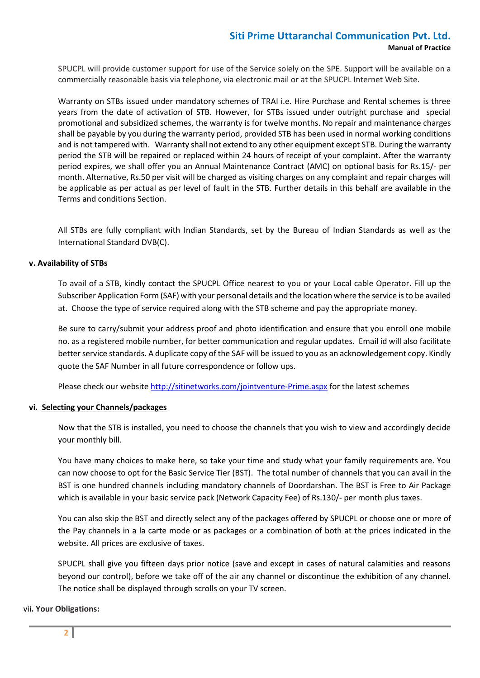# **Siti Prime Uttaranchal Communication Pvt. Ltd. Manual of Practice**

SPUCPL will provide customer support for use of the Service solely on the SPE. Support will be available on a commercially reasonable basis via telephone, via electronic mail or at the SPUCPL Internet Web Site.

Warranty on STBs issued under mandatory schemes of TRAI i.e. Hire Purchase and Rental schemes is three years from the date of activation of STB. However, for STBs issued under outright purchase and special promotional and subsidized schemes, the warranty is for twelve months. No repair and maintenance charges shall be payable by you during the warranty period, provided STB has been used in normal working conditions and is not tampered with. Warranty shall not extend to any other equipment except STB. During the warranty period the STB will be repaired or replaced within 24 hours of receipt of your complaint. After the warranty period expires, we shall offer you an Annual Maintenance Contract (AMC) on optional basis for Rs.15/- per month. Alternative, Rs.50 per visit will be charged as visiting charges on any complaint and repair charges will be applicable as per actual as per level of fault in the STB. Further details in this behalf are available in the Terms and conditions Section.

All STBs are fully compliant with Indian Standards, set by the Bureau of Indian Standards as well as the International Standard DVB(C).

#### **v. Availability of STBs**

To avail of a STB, kindly contact the SPUCPL Office nearest to you or your Local cable Operator. Fill up the Subscriber Application Form (SAF) with your personal details and the location where the service is to be availed at. Choose the type of service required along with the STB scheme and pay the appropriate money.

Be sure to carry/submit your address proof and photo identification and ensure that you enroll one mobile no. as a registered mobile number, for better communication and regular updates. Email id will also facilitate better service standards. A duplicate copy of the SAF will be issued to you as an acknowledgement copy. Kindly quote the SAF Number in all future correspondence or follow ups.

Please check our websit[e http://sitinetworks.com/jointventure-Prime.aspx](http://sitinetworks.com/jointventure-Prime.aspx) for the latest schemes

#### **vi. Selecting your Channels/packages**

Now that the STB is installed, you need to choose the channels that you wish to view and accordingly decide your monthly bill.

You have many choices to make here, so take your time and study what your family requirements are. You can now choose to opt for the Basic Service Tier (BST). The total number of channels that you can avail in the BST is one hundred channels including mandatory channels of Doordarshan. The BST is Free to Air Package which is available in your basic service pack (Network Capacity Fee) of Rs.130/- per month plus taxes.

You can also skip the BST and directly select any of the packages offered by SPUCPL or choose one or more of the Pay channels in a la carte mode or as packages or a combination of both at the prices indicated in the website. All prices are exclusive of taxes.

SPUCPL shall give you fifteen days prior notice (save and except in cases of natural calamities and reasons beyond our control), before we take off of the air any channel or discontinue the exhibition of any channel. The notice shall be displayed through scrolls on your TV screen.

#### vii**. Your Obligations:**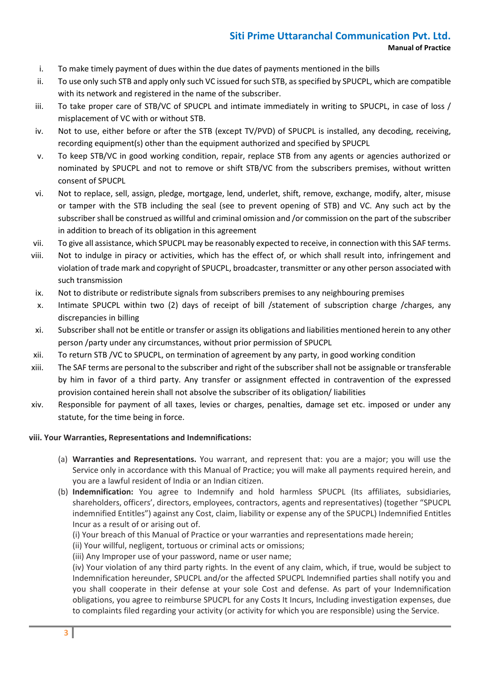- i. To make timely payment of dues within the due dates of payments mentioned in the bills
- ii. To use only such STB and apply only such VC issued for such STB, as specified by SPUCPL, which are compatible with its network and registered in the name of the subscriber.
- iii. To take proper care of STB/VC of SPUCPL and intimate immediately in writing to SPUCPL, in case of loss / misplacement of VC with or without STB.
- iv. Not to use, either before or after the STB (except TV/PVD) of SPUCPL is installed, any decoding, receiving, recording equipment(s) other than the equipment authorized and specified by SPUCPL
- v. To keep STB/VC in good working condition, repair, replace STB from any agents or agencies authorized or nominated by SPUCPL and not to remove or shift STB/VC from the subscribers premises, without written consent of SPUCPL
- vi. Not to replace, sell, assign, pledge, mortgage, lend, underlet, shift, remove, exchange, modify, alter, misuse or tamper with the STB including the seal (see to prevent opening of STB) and VC. Any such act by the subscriber shall be construed as willful and criminal omission and /or commission on the part of the subscriber in addition to breach of its obligation in this agreement
- vii. To give all assistance, which SPUCPL may be reasonably expected to receive, in connection with this SAF terms.
- viii. Not to indulge in piracy or activities, which has the effect of, or which shall result into, infringement and violation of trade mark and copyright of SPUCPL, broadcaster, transmitter or any other person associated with such transmission
- ix. Not to distribute or redistribute signals from subscribers premises to any neighbouring premises
- x. Intimate SPUCPL within two (2) days of receipt of bill /statement of subscription charge /charges, any discrepancies in billing
- xi. Subscriber shall not be entitle or transfer or assign its obligations and liabilities mentioned herein to any other person /party under any circumstances, without prior permission of SPUCPL
- xii. To return STB /VC to SPUCPL, on termination of agreement by any party, in good working condition
- xiii. The SAF terms are personal to the subscriber and right of the subscriber shall not be assignable or transferable by him in favor of a third party. Any transfer or assignment effected in contravention of the expressed provision contained herein shall not absolve the subscriber of its obligation/ liabilities
- xiv. Responsible for payment of all taxes, levies or charges, penalties, damage set etc. imposed or under any statute, for the time being in force.

#### **viii. Your Warranties, Representations and Indemnifications:**

- (a) **Warranties and Representations.** You warrant, and represent that: you are a major; you will use the Service only in accordance with this Manual of Practice; you will make all payments required herein, and you are a lawful resident of India or an Indian citizen.
- (b) **Indemnification:** You agree to Indemnify and hold harmless SPUCPL (Its affiliates, subsidiaries, shareholders, officers', directors, employees, contractors, agents and representatives) (together "SPUCPL indemnified Entitles") against any Cost, claim, liability or expense any of the SPUCPL) Indemnified Entitles Incur as a result of or arising out of.
	- (i) Your breach of this Manual of Practice or your warranties and representations made herein;
	- (ii) Your willful, negligent, tortuous or criminal acts or omissions;
	- (iii) Any Improper use of your password, name or user name;

(iv) Your violation of any third party rights. In the event of any claim, which, if true, would be subject to Indemnification hereunder, SPUCPL and/or the affected SPUCPL Indemnified parties shall notify you and you shall cooperate in their defense at your sole Cost and defense. As part of your Indemnification obligations, you agree to reimburse SPUCPL for any Costs It Incurs, Including investigation expenses, due to complaints filed regarding your activity (or activity for which you are responsible) using the Service.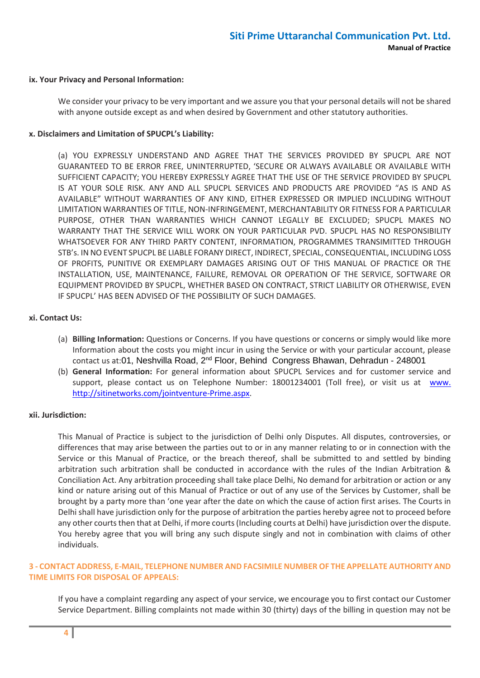#### **ix. Your Privacy and Personal Information:**

We consider your privacy to be very important and we assure you that your personal details will not be shared with anyone outside except as and when desired by Government and other statutory authorities.

#### **x. Disclaimers and Limitation of SPUCPL's Liability:**

(a) YOU EXPRESSLY UNDERSTAND AND AGREE THAT THE SERVICES PROVIDED BY SPUCPL ARE NOT GUARANTEED TO BE ERROR FREE, UNINTERRUPTED, 'SECURE OR ALWAYS AVAILABLE OR AVAILABLE WITH SUFFICIENT CAPACITY; YOU HEREBY EXPRESSLY AGREE THAT THE USE OF THE SERVICE PROVIDED BY SPUCPL IS AT YOUR SOLE RISK. ANY AND ALL SPUCPL SERVICES AND PRODUCTS ARE PROVIDED "AS IS AND AS AVAILABLE" WITHOUT WARRANTIES OF ANY KIND, EITHER EXPRESSED OR IMPLIED INCLUDING WITHOUT LIMITATION WARRANTIES OF TITLE, NON-INFRINGEMENT, MERCHANTABILITY OR FITNESS FOR A PARTICULAR PURPOSE, OTHER THAN WARRANTIES WHICH CANNOT LEGALLY BE EXCLUDED; SPUCPL MAKES NO WARRANTY THAT THE SERVICE WILL WORK ON YOUR PARTICULAR PVD. SPUCPL HAS NO RESPONSIBILITY WHATSOEVER FOR ANY THIRD PARTY CONTENT, INFORMATION, PROGRAMMES TRANSIMITTED THROUGH STB's. IN NO EVENT SPUCPL BE LIABLE FORANY DIRECT, INDIRECT, SPECIAL, CONSEQUENTIAL, INCLUDING LOSS OF PROFITS, PUNITIVE OR EXEMPLARY DAMAGES ARISING OUT OF THIS MANUAL OF PRACTICE OR THE INSTALLATION, USE, MAINTENANCE, FAILURE, REMOVAL OR OPERATION OF THE SERVICE, SOFTWARE OR EQUIPMENT PROVIDED BY SPUCPL, WHETHER BASED ON CONTRACT, STRICT LIABILITY OR OTHERWISE, EVEN IF SPUCPL' HAS BEEN ADVISED OF THE POSSIBILITY OF SUCH DAMAGES.

#### **xi. Contact Us:**

- (a) **Billing Information:** Questions or Concerns. If you have questions or concerns or simply would like more Information about the costs you might incur in using the Service or with your particular account, please contact us at:01, Neshvilla Road, 2<sup>nd</sup> Floor, Behind Congress Bhawan, Dehradun - 248001
- (b) **General Information:** For general information about SPUCPL Services and for customer service and support, please contact us on Telephone Number: 18001234001 (Toll free), or visit us at [www.](http://www./) http://sitinetworks.com/jointventure-Prime.aspx.

#### **xii. Jurisdiction:**

This Manual of Practice is subject to the jurisdiction of Delhi only Disputes. All disputes, controversies, or differences that may arise between the parties out to or in any manner relating to or in connection with the Service or this Manual of Practice, or the breach thereof, shall be submitted to and settled by binding arbitration such arbitration shall be conducted in accordance with the rules of the Indian Arbitration & Conciliation Act. Any arbitration proceeding shall take place Delhi, No demand for arbitration or action or any kind or nature arising out of this Manual of Practice or out of any use of the Services by Customer, shall be brought by a party more than 'one year after the date on which the cause of action first arises. The Courts in Delhi shall have jurisdiction only for the purpose of arbitration the parties hereby agree not to proceed before any other courts then that at Delhi, if more courts (Including courts at Delhi) have jurisdiction over the dispute. You hereby agree that you will bring any such dispute singly and not in combination with claims of other individuals.

### **3 - CONTACT ADDRESS, E-MAIL, TELEPHONE NUMBER AND FACSIMILE NUMBER OF THE APPELLATE AUTHORITY AND TIME LIMITS FOR DISPOSAL OF APPEALS:**

If you have a complaint regarding any aspect of your service, we encourage you to first contact our Customer Service Department. Billing complaints not made within 30 (thirty) days of the billing in question may not be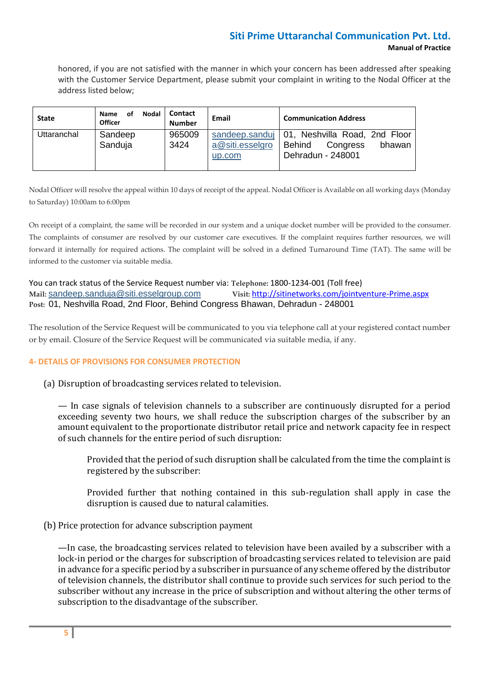# **Siti Prime Uttaranchal Communication Pvt. Ltd. Manual of Practice**

honored, if you are not satisfied with the manner in which your concern has been addressed after speaking with the Customer Service Department, please submit your complaint in writing to the Nodal Officer at the address listed below;

| <b>State</b> | Nodal<br>οf<br>Name<br><b>Officer</b> | Contact<br><b>Number</b> | Email                     | <b>Communication Address</b>                                                                        |
|--------------|---------------------------------------|--------------------------|---------------------------|-----------------------------------------------------------------------------------------------------|
| Uttaranchal  | Sandeep<br>Sanduja                    | 965009<br>3424           | a@siti.esselgro<br>up.com | sandeep.sandui   01, Neshvilla Road, 2nd Floor<br>Behind<br>bhawan<br>Congress<br>Dehradun - 248001 |

Nodal Officer will resolve the appeal within 10 days of receipt of the appeal. Nodal Officer is Available on all working days (Monday to Saturday) 10:00am to 6:00pm

On receipt of a complaint, the same will be recorded in our system and a unique docket number will be provided to the consumer. The complaints of consumer are resolved by our customer care executives. If the complaint requires further resources, we will forward it internally for required actions. The complaint will be solved in a defined Turnaround Time (TAT). The same will be informed to the customer via suitable media.

You can track status of the Service Request number via: **Telephone:** 1800-1234-001 (Toll free) **Mail:** [sandeep.sanduja@siti.esselgroup.com](mailto:sandeep.sanduja@siti.esselgroup.com) **Visit:** <http://sitinetworks.com/jointventure-Prime.aspx> **Post:** 01, Neshvilla Road, 2nd Floor, Behind Congress Bhawan, Dehradun - 248001

The resolution of the Service Request will be communicated to you via telephone call at your registered contact number or by email. Closure of the Service Request will be communicated via suitable media, if any.

#### **4- DETAILS OF PROVISIONS FOR CONSUMER PROTECTION**

(a) Disruption of broadcasting services related to television.

— In case signals of television channels to a subscriber are continuously disrupted for a period exceeding seventy two hours, we shall reduce the subscription charges of the subscriber by an amount equivalent to the proportionate distributor retail price and network capacity fee in respect of such channels for the entire period of such disruption:

Provided that the period of such disruption shall be calculated from the time the complaint is registered by the subscriber:

Provided further that nothing contained in this sub-regulation shall apply in case the disruption is caused due to natural calamities.

(b) Price protection for advance subscription payment

—In case, the broadcasting services related to television have been availed by a subscriber with a lock-in period or the charges for subscription of broadcasting services related to television are paid in advance for a specific period by a subscriber in pursuance of any scheme offered by the distributor of television channels, the distributor shall continue to provide such services for such period to the subscriber without any increase in the price of subscription and without altering the other terms of subscription to the disadvantage of the subscriber.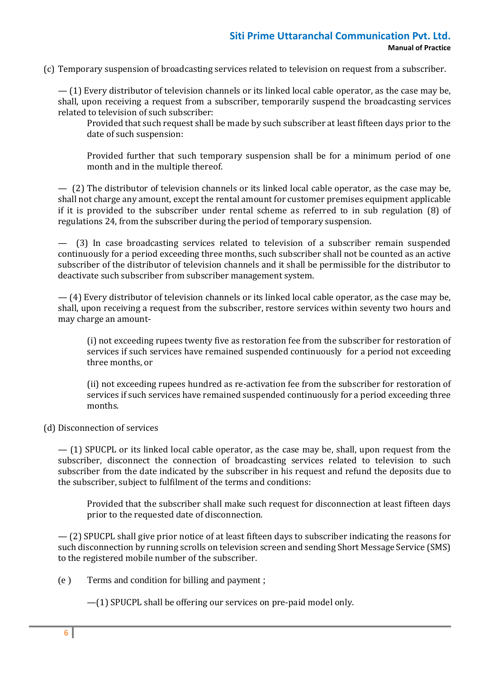# **Siti Prime Uttaranchal Communication Pvt. Ltd. Manual of Practice**

(c) Temporary suspension of broadcasting services related to television on request from a subscriber.

— (1) Every distributor of television channels or its linked local cable operator, as the case may be, shall, upon receiving a request from a subscriber, temporarily suspend the broadcasting services related to television of such subscriber:

Provided that such request shall be made by such subscriber at least fifteen days prior to the date of such suspension:

Provided further that such temporary suspension shall be for a minimum period of one month and in the multiple thereof.

— (2) The distributor of television channels or its linked local cable operator, as the case may be, shall not charge any amount, except the rental amount for customer premises equipment applicable if it is provided to the subscriber under rental scheme as referred to in sub regulation (8) of regulations 24, from the subscriber during the period of temporary suspension.

— (3) In case broadcasting services related to television of a subscriber remain suspended continuously for a period exceeding three months, such subscriber shall not be counted as an active subscriber of the distributor of television channels and it shall be permissible for the distributor to deactivate such subscriber from subscriber management system.

— (4) Every distributor of television channels or its linked local cable operator, as the case may be, shall, upon receiving a request from the subscriber, restore services within seventy two hours and may charge an amount-

(i) not exceeding rupees twenty five as restoration fee from the subscriber for restoration of services if such services have remained suspended continuously for a period not exceeding three months, or

(ii) not exceeding rupees hundred as re-activation fee from the subscriber for restoration of services if such services have remained suspended continuously for a period exceeding three months.

(d) Disconnection of services

— (1) SPUCPL or its linked local cable operator, as the case may be, shall, upon request from the subscriber, disconnect the connection of broadcasting services related to television to such subscriber from the date indicated by the subscriber in his request and refund the deposits due to the subscriber, subject to fulfilment of the terms and conditions:

Provided that the subscriber shall make such request for disconnection at least fifteen days prior to the requested date of disconnection.

— (2) SPUCPL shall give prior notice of at least fifteen days to subscriber indicating the reasons for such disconnection by running scrolls on television screen and sending Short Message Service (SMS) to the registered mobile number of the subscriber.

(e ) Terms and condition for billing and payment ;

—(1) SPUCPL shall be offering our services on pre-paid model only.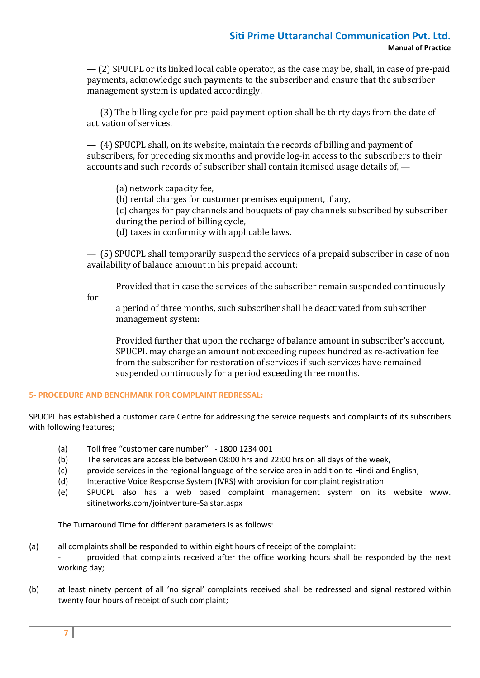— (2) SPUCPL or its linked local cable operator, as the case may be, shall, in case of pre-paid payments, acknowledge such payments to the subscriber and ensure that the subscriber management system is updated accordingly.

— (3) The billing cycle for pre-paid payment option shall be thirty days from the date of activation of services.

— (4) SPUCPL shall, on its website, maintain the records of billing and payment of subscribers, for preceding six months and provide log-in access to the subscribers to their accounts and such records of subscriber shall contain itemised usage details of, —

(a) network capacity fee,

(b) rental charges for customer premises equipment, if any,

(c) charges for pay channels and bouquets of pay channels subscribed by subscriber during the period of billing cycle,

(d) taxes in conformity with applicable laws.

— (5) SPUCPL shall temporarily suspend the services of a prepaid subscriber in case of non availability of balance amount in his prepaid account:

Provided that in case the services of the subscriber remain suspended continuously

for

a period of three months, such subscriber shall be deactivated from subscriber management system:

Provided further that upon the recharge of balance amount in subscriber's account, SPUCPL may charge an amount not exceeding rupees hundred as re-activation fee from the subscriber for restoration of services if such services have remained suspended continuously for a period exceeding three months.

## **5- PROCEDURE AND BENCHMARK FOR COMPLAINT REDRESSAL:**

SPUCPL has established a customer care Centre for addressing the service requests and complaints of its subscribers with following features;

- (a) Toll free "customer care number" 1800 1234 001
- (b) The services are accessible between 08:00 hrs and 22:00 hrs on all days of the week,
- (c) provide services in the regional language of the service area in addition to Hindi and English,
- (d) Interactive Voice Response System (IVRS) with provision for complaint registration
- (e) SPUCPL also has a web based complaint management system on its website www. sitinetworks.com/jointventure-Saistar.aspx

The Turnaround Time for different parameters is as follows:

- (a) all complaints shall be responded to within eight hours of receipt of the complaint:
	- provided that complaints received after the office working hours shall be responded by the next working day;
- (b) at least ninety percent of all 'no signal' complaints received shall be redressed and signal restored within twenty four hours of receipt of such complaint;